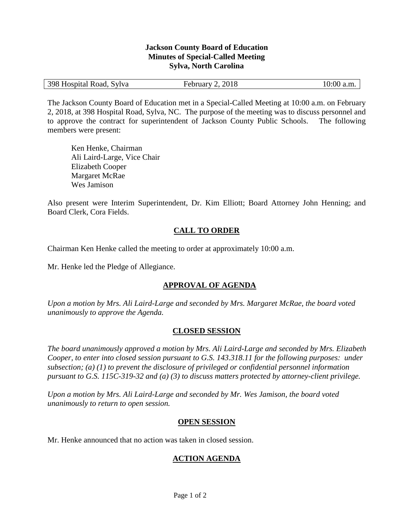#### **Jackson County Board of Education Minutes of Special-Called Meeting Sylva, North Carolina**

| 398 Hospital Road, Sylva | February 2, 2018 | $10:00$ a.m. |
|--------------------------|------------------|--------------|
|                          |                  |              |

The Jackson County Board of Education met in a Special-Called Meeting at 10:00 a.m. on February 2, 2018, at 398 Hospital Road, Sylva, NC. The purpose of the meeting was to discuss personnel and to approve the contract for superintendent of Jackson County Public Schools. The following members were present:

Ken Henke, Chairman Ali Laird-Large, Vice Chair Elizabeth Cooper Margaret McRae Wes Jamison

Also present were Interim Superintendent, Dr. Kim Elliott; Board Attorney John Henning; and Board Clerk, Cora Fields.

# **CALL TO ORDER**

Chairman Ken Henke called the meeting to order at approximately 10:00 a.m.

Mr. Henke led the Pledge of Allegiance.

# **APPROVAL OF AGENDA**

*Upon a motion by Mrs. Ali Laird-Large and seconded by Mrs. Margaret McRae, the board voted unanimously to approve the Agenda.*

# **CLOSED SESSION**

*The board unanimously approved a motion by Mrs. Ali Laird-Large and seconded by Mrs. Elizabeth Cooper, to enter into closed session pursuant to G.S. 143.318.11 for the following purposes: under subsection; (a) (1) to prevent the disclosure of privileged or confidential personnel information pursuant to G.S. 115C-319-32 and (a) (3) to discuss matters protected by attorney-client privilege.* 

*Upon a motion by Mrs. Ali Laird-Large and seconded by Mr. Wes Jamison, the board voted unanimously to return to open session.* 

### **OPEN SESSION**

Mr. Henke announced that no action was taken in closed session.

### **ACTION AGENDA**